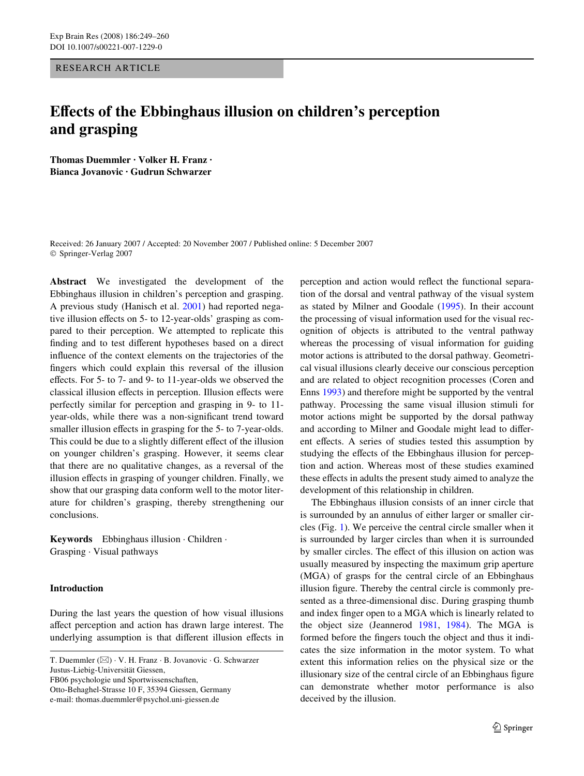# RESEARCH ARTICLE

# **Effects of the Ebbinghaus illusion on children's perception and grasping**

**Thomas Duemmler · Volker H. Franz · Bianca Jovanovic · Gudrun Schwarzer** 

Received: 26 January 2007 / Accepted: 20 November 2007 / Published online: 5 December 2007 © Springer-Verlag 2007

**Abstract** We investigated the development of the Ebbinghaus illusion in children's perception and grasping. A previous study (Hanisch et al. [2001](#page-11-0)) had reported negative illusion effects on 5- to 12-year-olds' grasping as compared to their perception. We attempted to replicate this finding and to test different hypotheses based on a direct influence of the context elements on the trajectories of the fingers which could explain this reversal of the illusion effects. For 5- to 7- and 9- to 11-year-olds we observed the classical illusion effects in perception. Illusion effects were perfectly similar for perception and grasping in 9- to 11 year-olds, while there was a non-significant trend toward smaller illusion effects in grasping for the 5- to 7-year-olds. This could be due to a slightly different effect of the illusion on younger children's grasping. However, it seems clear that there are no qualitative changes, as a reversal of the illusion effects in grasping of younger children. Finally, we show that our grasping data conform well to the motor literature for children's grasping, thereby strengthening our conclusions.

**Keywords** Ebbinghaus illusion · Children · Grasping · Visual pathways

# **Introduction**

During the last years the question of how visual illusions affect perception and action has drawn large interest. The underlying assumption is that different illusion effects in

T. Duemmler (&) · V. H. Franz · B. Jovanovic · G. Schwarzer Justus-Liebig-Universität Giessen, FB06 psychologie und Sportwissenschaften, Otto-Behaghel-Strasse 10 F, 35394 Giessen, Germany

e-mail: thomas.duemmler@psychol.uni-giessen.de

perception and action would reflect the functional separation of the dorsal and ventral pathway of the visual system as stated by Milner and Goodale [\(1995](#page-11-1)). In their account the processing of visual information used for the visual recognition of objects is attributed to the ventral pathway whereas the processing of visual information for guiding motor actions is attributed to the dorsal pathway. Geometrical visual illusions clearly deceive our conscious perception and are related to object recognition processes (Coren and Enns [1993\)](#page-11-2) and therefore might be supported by the ventral pathway. Processing the same visual illusion stimuli for motor actions might be supported by the dorsal pathway and according to Milner and Goodale might lead to different effects. A series of studies tested this assumption by studying the effects of the Ebbinghaus illusion for perception and action. Whereas most of these studies examined these effects in adults the present study aimed to analyze the development of this relationship in children.

The Ebbinghaus illusion consists of an inner circle that is surrounded by an annulus of either larger or smaller circles (Fig. [1\)](#page-1-0). We perceive the central circle smaller when it is surrounded by larger circles than when it is surrounded by smaller circles. The effect of this illusion on action was usually measured by inspecting the maximum grip aperture (MGA) of grasps for the central circle of an Ebbinghaus illusion figure. Thereby the central circle is commonly presented as a three-dimensional disc. During grasping thumb and index finger open to a MGA which is linearly related to the object size (Jeannerod [1981](#page-11-3), [1984\)](#page-11-4). The MGA is formed before the fingers touch the object and thus it indicates the size information in the motor system. To what extent this information relies on the physical size or the illusionary size of the central circle of an Ebbinghaus figure can demonstrate whether motor performance is also deceived by the illusion.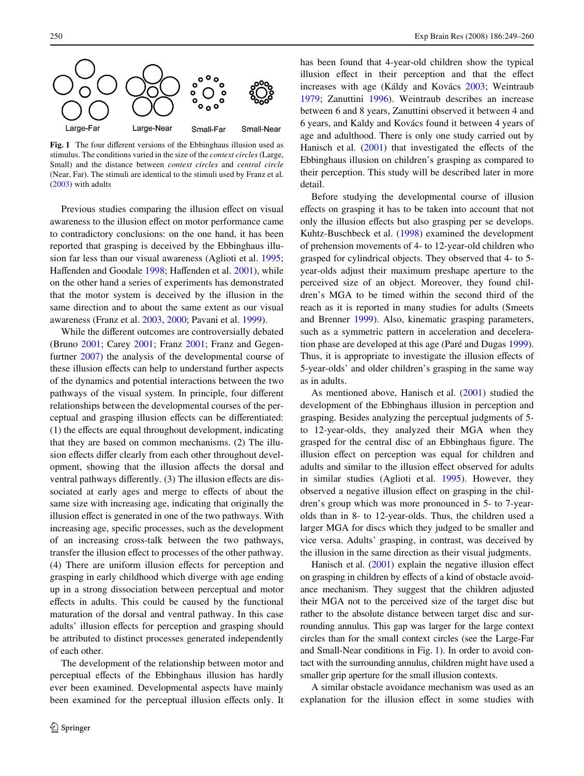

<span id="page-1-0"></span>Fig. 1 The four different versions of the Ebbinghaus illusion used as stimulus. The conditions varied in the size of the *context circles* (Large, Small) and the distance between *context circles* and *central circle* (Near, Far). The stimuli are identical to the stimuli used by Franz et al. ([2003\)](#page-11-5) with adults

Previous studies comparing the illusion effect on visual awareness to the illusion effect on motor performance came to contradictory conclusions: on the one hand, it has been reported that grasping is deceived by the Ebbinghaus illusion far less than our visual awareness (Aglioti et al. [1995](#page-10-0); Haffenden and Goodale [1998;](#page-11-6) Haffenden et al. [2001\)](#page-11-7), while on the other hand a series of experiments has demonstrated that the motor system is deceived by the illusion in the same direction and to about the same extent as our visual awareness (Franz et al. [2003](#page-11-5), [2000](#page-11-8); Pavani et al. [1999\)](#page-11-9).

While the different outcomes are controversially debated (Bruno [2001;](#page-10-1) Carey [2001;](#page-10-2) Franz [2001](#page-11-10); Franz and Gegenfurtner [2007\)](#page-11-11) the analysis of the developmental course of these illusion effects can help to understand further aspects of the dynamics and potential interactions between the two pathways of the visual system. In principle, four different relationships between the developmental courses of the perceptual and grasping illusion effects can be differentiated:  $(1)$  the effects are equal throughout development, indicating that they are based on common mechanisms. (2) The illusion effects differ clearly from each other throughout development, showing that the illusion affects the dorsal and ventral pathways differently. (3) The illusion effects are dissociated at early ages and merge to effects of about the same size with increasing age, indicating that originally the illusion effect is generated in one of the two pathways. With increasing age, specific processes, such as the development of an increasing cross-talk between the two pathways, transfer the illusion effect to processes of the other pathway. (4) There are uniform illusion effects for perception and grasping in early childhood which diverge with age ending up in a strong dissociation between perceptual and motor effects in adults. This could be caused by the functional maturation of the dorsal and ventral pathway. In this case adults' illusion effects for perception and grasping should be attributed to distinct processes generated independently of each other.

The development of the relationship between motor and perceptual effects of the Ebbinghaus illusion has hardly ever been examined. Developmental aspects have mainly been examined for the perceptual illusion effects only. It has been found that 4-year-old children show the typical illusion effect in their perception and that the effect increases with age (Káldy and Kovács [2003;](#page-11-12) Weintraub [1979](#page-11-13); Zanuttini [1996\)](#page-11-14). Weintraub describes an increase between 6 and 8 years, Zanuttini observed it between 4 and 6 years, and Kaldy and Kovács found it between 4 years of age and adulthood. There is only one study carried out by Hanisch et al.  $(2001)$  $(2001)$  that investigated the effects of the Ebbinghaus illusion on children's grasping as compared to their perception. This study will be described later in more detail.

Before studying the developmental course of illusion effects on grasping it has to be taken into account that not only the illusion effects but also grasping per se develops. Kuhtz-Buschbeck et al. ([1998\)](#page-11-15) examined the development of prehension movements of 4- to 12-year-old children who grasped for cylindrical objects. They observed that 4- to 5 year-olds adjust their maximum preshape aperture to the perceived size of an object. Moreover, they found children's MGA to be timed within the second third of the reach as it is reported in many studies for adults (Smeets and Brenner [1999\)](#page-11-16). Also, kinematic grasping parameters, such as a symmetric pattern in acceleration and deceleration phase are developed at this age (Paré and Dugas [1999](#page-11-17)). Thus, it is appropriate to investigate the illusion effects of 5-year-olds' and older children's grasping in the same way as in adults.

As mentioned above, Hanisch et al. [\(2001](#page-11-0)) studied the development of the Ebbinghaus illusion in perception and grasping. Besides analyzing the perceptual judgments of 5 to 12-year-olds, they analyzed their MGA when they grasped for the central disc of an Ebbinghaus figure. The illusion effect on perception was equal for children and adults and similar to the illusion effect observed for adults in similar studies (Aglioti et al. [1995](#page-10-0)). However, they observed a negative illusion effect on grasping in the children's group which was more pronounced in 5- to 7-yearolds than in 8- to 12-year-olds. Thus, the children used a larger MGA for discs which they judged to be smaller and vice versa. Adults' grasping, in contrast, was deceived by the illusion in the same direction as their visual judgments.

Hanisch et al.  $(2001)$  explain the negative illusion effect on grasping in children by effects of a kind of obstacle avoidance mechanism. They suggest that the children adjusted their MGA not to the perceived size of the target disc but rather to the absolute distance between target disc and surrounding annulus. This gap was larger for the large context circles than for the small context circles (see the Large-Far and Small-Near conditions in Fig. [1](#page-1-0)). In order to avoid contact with the surrounding annulus, children might have used a smaller grip aperture for the small illusion contexts.

A similar obstacle avoidance mechanism was used as an explanation for the illusion effect in some studies with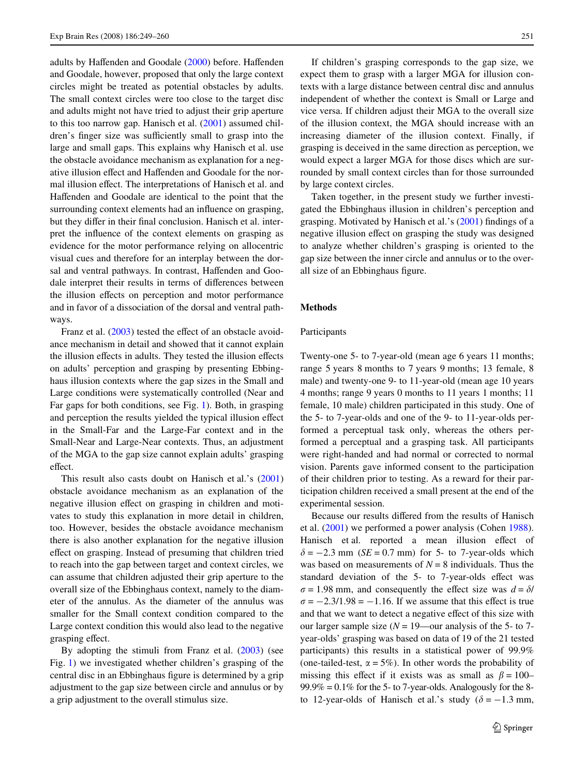adults by Haffenden and Goodale [\(2000](#page-11-18)) before. Haffenden and Goodale, however, proposed that only the large context circles might be treated as potential obstacles by adults. The small context circles were too close to the target disc and adults might not have tried to adjust their grip aperture to this too narrow gap. Hanisch et al. [\(2001](#page-11-0)) assumed children's finger size was sufficiently small to grasp into the large and small gaps. This explains why Hanisch et al. use the obstacle avoidance mechanism as explanation for a negative illusion effect and Haffenden and Goodale for the normal illusion effect. The interpretations of Hanisch et al. and Haffenden and Goodale are identical to the point that the surrounding context elements had an influence on grasping, but they differ in their final conclusion. Hanisch et al. interpret the influence of the context elements on grasping as evidence for the motor performance relying on allocentric visual cues and therefore for an interplay between the dorsal and ventral pathways. In contrast, Haffenden and Goodale interpret their results in terms of differences between the illusion effects on perception and motor performance and in favor of a dissociation of the dorsal and ventral pathways.

Franz et al.  $(2003)$  $(2003)$  tested the effect of an obstacle avoidance mechanism in detail and showed that it cannot explain the illusion effects in adults. They tested the illusion effects on adults' perception and grasping by presenting Ebbinghaus illusion contexts where the gap sizes in the Small and Large conditions were systematically controlled (Near and Far gaps for both conditions, see Fig. [1](#page-1-0)). Both, in grasping and perception the results yielded the typical illusion effect in the Small-Far and the Large-Far context and in the Small-Near and Large-Near contexts. Thus, an adjustment of the MGA to the gap size cannot explain adults' grasping effect.

This result also casts doubt on Hanisch et al.'s ([2001\)](#page-11-0) obstacle avoidance mechanism as an explanation of the negative illusion effect on grasping in children and motivates to study this explanation in more detail in children, too. However, besides the obstacle avoidance mechanism there is also another explanation for the negative illusion effect on grasping. Instead of presuming that children tried to reach into the gap between target and context circles, we can assume that children adjusted their grip aperture to the overall size of the Ebbinghaus context, namely to the diameter of the annulus. As the diameter of the annulus was smaller for the Small context condition compared to the Large context condition this would also lead to the negative grasping effect.

By adopting the stimuli from Franz et al. [\(2003](#page-11-5)) (see Fig. [1](#page-1-0)) we investigated whether children's grasping of the central disc in an Ebbinghaus figure is determined by a grip adjustment to the gap size between circle and annulus or by a grip adjustment to the overall stimulus size.

If children's grasping corresponds to the gap size, we expect them to grasp with a larger MGA for illusion contexts with a large distance between central disc and annulus independent of whether the context is Small or Large and vice versa. If children adjust their MGA to the overall size of the illusion context, the MGA should increase with an increasing diameter of the illusion context. Finally, if grasping is deceived in the same direction as perception, we would expect a larger MGA for those discs which are surrounded by small context circles than for those surrounded by large context circles.

Taken together, in the present study we further investigated the Ebbinghaus illusion in children's perception and grasping. Motivated by Hanisch et al.'s  $(2001)$  $(2001)$  findings of a negative illusion effect on grasping the study was designed to analyze whether children's grasping is oriented to the gap size between the inner circle and annulus or to the overall size of an Ebbinghaus figure.

#### **Methods**

#### Participants

Twenty-one 5- to 7-year-old (mean age 6 years 11 months; range 5 years 8 months to 7 years 9 months; 13 female, 8 male) and twenty-one 9- to 11-year-old (mean age 10 years 4 months; range 9 years 0 months to 11 years 1 months; 11 female, 10 male) children participated in this study. One of the 5- to 7-year-olds and one of the 9- to 11-year-olds performed a perceptual task only, whereas the others performed a perceptual and a grasping task. All participants were right-handed and had normal or corrected to normal vision. Parents gave informed consent to the participation of their children prior to testing. As a reward for their participation children received a small present at the end of the experimental session.

Because our results differed from the results of Hanisch et al. ([2001\)](#page-11-0) we performed a power analysis (Cohen [1988](#page-10-3)). Hanisch et al. reported a mean illusion effect of  $\delta = -2.3$  mm (*SE* = 0.7 mm) for 5- to 7-year-olds which was based on measurements of  $N = 8$  individuals. Thus the standard deviation of the 5- to 7-year-olds effect was  $\sigma = 1.98$  mm, and consequently the effect size was  $d = \delta/2$  $\sigma = -2.3/1.98 = -1.16$ . If we assume that this effect is true and that we want to detect a negative effect of this size with our larger sample size  $(N = 19$ —our analysis of the 5- to 7year-olds' grasping was based on data of 19 of the 21 tested participants) this results in a statistical power of 99.9% (one-tailed-test,  $\alpha = 5\%$ ). In other words the probability of missing this effect if it exists was as small as  $\beta = 100 99.9\% = 0.1\%$  for the 5- to 7-year-olds. Analogously for the 8to 12-year-olds of Hanisch et al.'s study ( $\delta = -1.3$  mm,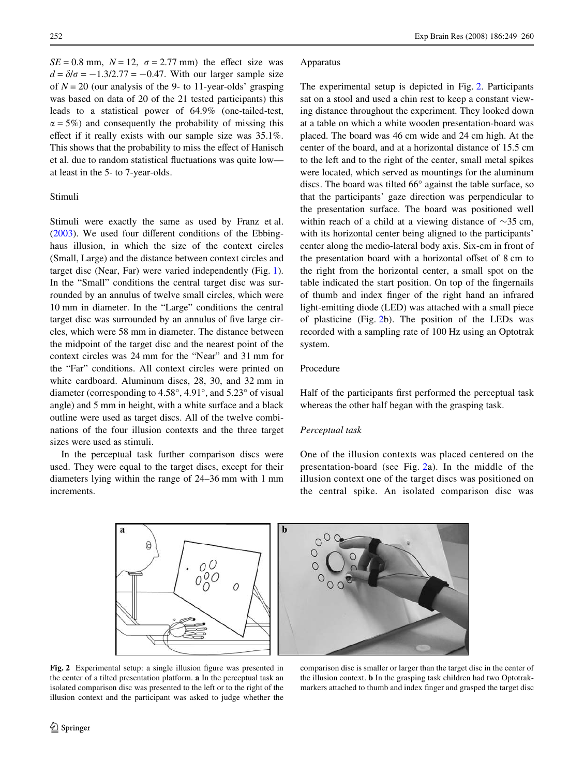$SE = 0.8$  mm,  $N = 12$ ,  $\sigma = 2.77$  mm) the effect size was  $d = \delta/\sigma = -1.3/2.77 = -0.47$ . With our larger sample size of  $N = 20$  (our analysis of the 9- to 11-year-olds' grasping was based on data of 20 of the 21 tested participants) this leads to a statistical power of 64.9% (one-tailed-test,  $\alpha = 5\%$ ) and consequently the probability of missing this effect if it really exists with our sample size was  $35.1\%$ . This shows that the probability to miss the effect of Hanisch et al. due to random statistical fluctuations was quite low at least in the 5- to 7-year-olds.

# Stimuli

Stimuli were exactly the same as used by Franz et al.  $(2003)$  $(2003)$ . We used four different conditions of the Ebbinghaus illusion, in which the size of the context circles (Small, Large) and the distance between context circles and target disc (Near, Far) were varied independently (Fig. [1](#page-1-0)). In the "Small" conditions the central target disc was surrounded by an annulus of twelve small circles, which were 10 mm in diameter. In the "Large" conditions the central target disc was surrounded by an annulus of five large circles, which were 58 mm in diameter. The distance between the midpoint of the target disc and the nearest point of the context circles was 24 mm for the "Near" and 31 mm for the "Far" conditions. All context circles were printed on white cardboard. Aluminum discs, 28, 30, and 32 mm in diameter (corresponding to 4.58°, 4.91°, and 5.23° of visual angle) and 5 mm in height, with a white surface and a black outline were used as target discs. All of the twelve combinations of the four illusion contexts and the three target sizes were used as stimuli.

In the perceptual task further comparison discs were used. They were equal to the target discs, except for their diameters lying within the range of 24–36 mm with 1 mm increments.

## Apparatus

The experimental setup is depicted in Fig. [2.](#page-3-0) Participants sat on a stool and used a chin rest to keep a constant viewing distance throughout the experiment. They looked down at a table on which a white wooden presentation-board was placed. The board was 46 cm wide and 24 cm high. At the center of the board, and at a horizontal distance of 15.5 cm to the left and to the right of the center, small metal spikes were located, which served as mountings for the aluminum discs. The board was tilted 66° against the table surface, so that the participants' gaze direction was perpendicular to the presentation surface. The board was positioned well within reach of a child at a viewing distance of  $\sim$ 35 cm, with its horizontal center being aligned to the participants' center along the medio-lateral body axis. Six-cm in front of the presentation board with a horizontal offset of 8 cm to the right from the horizontal center, a small spot on the table indicated the start position. On top of the fingernails of thumb and index finger of the right hand an infrared light-emitting diode (LED) was attached with a small piece of plasticine (Fig. [2](#page-3-0)b). The position of the LEDs was recorded with a sampling rate of 100 Hz using an Optotrak system.

## Procedure

Half of the participants first performed the perceptual task whereas the other half began with the grasping task.

#### *Perceptual task*

One of the illusion contexts was placed centered on the presentation-board (see Fig. [2](#page-3-0)a). In the middle of the illusion context one of the target discs was positioned on the central spike. An isolated comparison disc was

<span id="page-3-0"></span>

Fig. 2 Experimental setup: a single illusion figure was presented in the center of a tilted presentation platform. **a** In the perceptual task an isolated comparison disc was presented to the left or to the right of the illusion context and the participant was asked to judge whether the

comparison disc is smaller or larger than the target disc in the center of the illusion context. **b** In the grasping task children had two Optotrakmarkers attached to thumb and index finger and grasped the target disc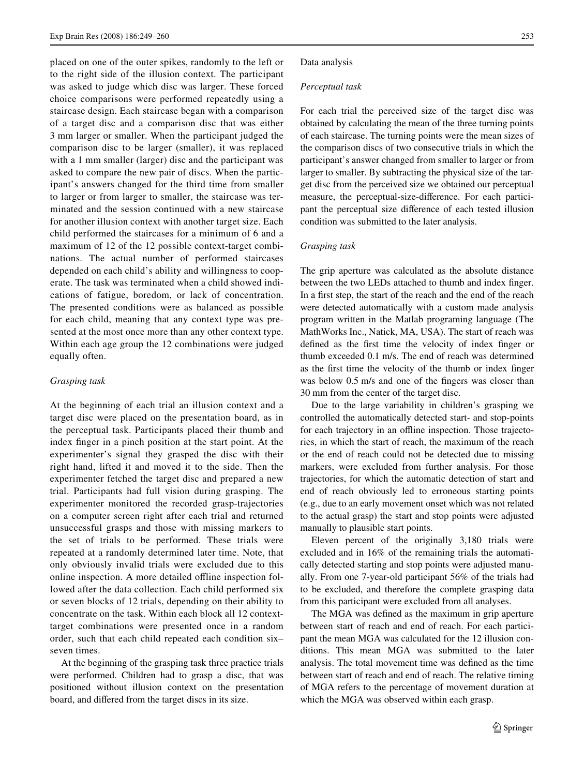placed on one of the outer spikes, randomly to the left or to the right side of the illusion context. The participant was asked to judge which disc was larger. These forced choice comparisons were performed repeatedly using a staircase design. Each staircase began with a comparison of a target disc and a comparison disc that was either 3 mm larger or smaller. When the participant judged the comparison disc to be larger (smaller), it was replaced with a 1 mm smaller (larger) disc and the participant was asked to compare the new pair of discs. When the participant's answers changed for the third time from smaller to larger or from larger to smaller, the staircase was terminated and the session continued with a new staircase for another illusion context with another target size. Each child performed the staircases for a minimum of 6 and a maximum of 12 of the 12 possible context-target combinations. The actual number of performed staircases depended on each child's ability and willingness to cooperate. The task was terminated when a child showed indications of fatigue, boredom, or lack of concentration. The presented conditions were as balanced as possible for each child, meaning that any context type was presented at the most once more than any other context type. Within each age group the 12 combinations were judged equally often.

## *Grasping task*

At the beginning of each trial an illusion context and a target disc were placed on the presentation board, as in the perceptual task. Participants placed their thumb and index finger in a pinch position at the start point. At the experimenter's signal they grasped the disc with their right hand, lifted it and moved it to the side. Then the experimenter fetched the target disc and prepared a new trial. Participants had full vision during grasping. The experimenter monitored the recorded grasp-trajectories on a computer screen right after each trial and returned unsuccessful grasps and those with missing markers to the set of trials to be performed. These trials were repeated at a randomly determined later time. Note, that only obviously invalid trials were excluded due to this online inspection. A more detailed offline inspection followed after the data collection. Each child performed six or seven blocks of 12 trials, depending on their ability to concentrate on the task. Within each block all 12 contexttarget combinations were presented once in a random order, such that each child repeated each condition six– seven times.

At the beginning of the grasping task three practice trials were performed. Children had to grasp a disc, that was positioned without illusion context on the presentation board, and differed from the target discs in its size.

#### Data analysis

## *Perceptual task*

For each trial the perceived size of the target disc was obtained by calculating the mean of the three turning points of each staircase. The turning points were the mean sizes of the comparison discs of two consecutive trials in which the participant's answer changed from smaller to larger or from larger to smaller. By subtracting the physical size of the target disc from the perceived size we obtained our perceptual measure, the perceptual-size-difference. For each participant the perceptual size difference of each tested illusion condition was submitted to the later analysis.

## *Grasping task*

The grip aperture was calculated as the absolute distance between the two LEDs attached to thumb and index finger. In a first step, the start of the reach and the end of the reach were detected automatically with a custom made analysis program written in the Matlab programing language (The MathWorks Inc., Natick, MA, USA). The start of reach was defined as the first time the velocity of index finger or thumb exceeded 0.1 m/s. The end of reach was determined as the first time the velocity of the thumb or index finger was below 0.5 m/s and one of the fingers was closer than 30 mm from the center of the target disc.

Due to the large variability in children's grasping we controlled the automatically detected start- and stop-points for each trajectory in an offline inspection. Those trajectories, in which the start of reach, the maximum of the reach or the end of reach could not be detected due to missing markers, were excluded from further analysis. For those trajectories, for which the automatic detection of start and end of reach obviously led to erroneous starting points (e.g., due to an early movement onset which was not related to the actual grasp) the start and stop points were adjusted manually to plausible start points.

Eleven percent of the originally 3,180 trials were excluded and in 16% of the remaining trials the automatically detected starting and stop points were adjusted manually. From one 7-year-old participant 56% of the trials had to be excluded, and therefore the complete grasping data from this participant were excluded from all analyses.

The MGA was defined as the maximum in grip aperture between start of reach and end of reach. For each participant the mean MGA was calculated for the 12 illusion conditions. This mean MGA was submitted to the later analysis. The total movement time was defined as the time between start of reach and end of reach. The relative timing of MGA refers to the percentage of movement duration at which the MGA was observed within each grasp.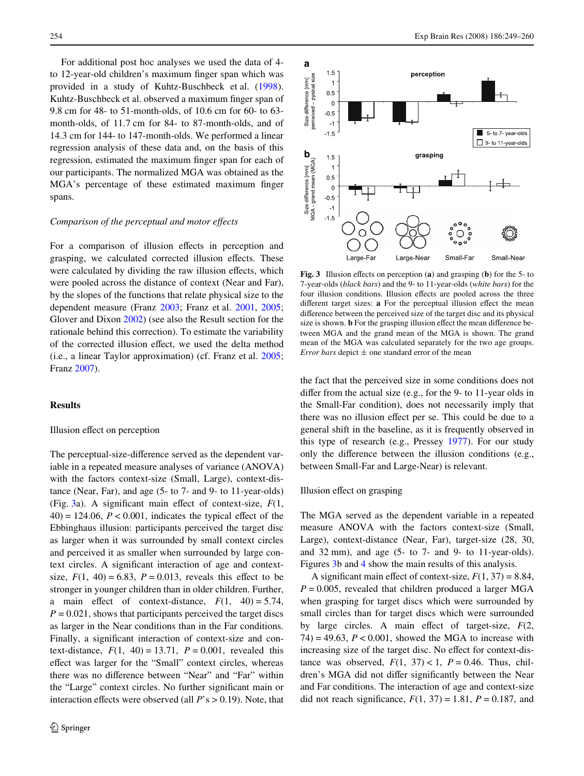For additional post hoc analyses we used the data of 4 to 12-year-old children's maximum finger span which was provided in a study of Kuhtz-Buschbeck et al. [\(1998](#page-11-15)). Kuhtz-Buschbeck et al. observed a maximum finger span of 9.8 cm for 48- to 51-month-olds, of 10.6 cm for 60- to 63 month-olds, of 11.7 cm for 84- to 87-month-olds, and of 14.3 cm for 144- to 147-month-olds. We performed a linear regression analysis of these data and, on the basis of this regression, estimated the maximum finger span for each of our participants. The normalized MGA was obtained as the MGA's percentage of these estimated maximum finger spans.

#### *Comparison of the perceptual and motor effects*

For a comparison of illusion effects in perception and grasping, we calculated corrected illusion effects. These were calculated by dividing the raw illusion effects, which were pooled across the distance of context (Near and Far), by the slopes of the functions that relate physical size to the dependent measure (Franz [2003](#page-11-19); Franz et al. [2001,](#page-11-20) [2005](#page-11-21); Glover and Dixon [2002\)](#page-11-22) (see also the Result section for the rationale behind this correction). To estimate the variability of the corrected illusion effect, we used the delta method (i.e., a linear Taylor approximation) (cf. Franz et al. [2005](#page-11-21); Franz [2007](#page-11-23)).

## **Results**

# Illusion effect on perception

The perceptual-size-difference served as the dependent variable in a repeated measure analyses of variance (ANOVA) with the factors context-size (Small, Large), context-distance (Near, Far), and age (5- to 7- and 9- to 11-year-olds) (Fig. [3a](#page-5-0)). A significant main effect of context-size,  $F(1, 1)$  $40$ ) = 124.06,  $P < 0.001$ , indicates the typical effect of the Ebbinghaus illusion: participants perceived the target disc as larger when it was surrounded by small context circles and perceived it as smaller when surrounded by large context circles. A significant interaction of age and contextsize,  $F(1, 40) = 6.83$ ,  $P = 0.013$ , reveals this effect to be stronger in younger children than in older children. Further, a main effect of context-distance,  $F(1, 40) = 5.74$ ,  $P = 0.021$ , shows that participants perceived the target discs as larger in the Near conditions than in the Far conditions. Finally, a significant interaction of context-size and context-distance,  $F(1, 40) = 13.71$ ,  $P = 0.001$ , revealed this effect was larger for the "Small" context circles, whereas there was no difference between "Near" and "Far" within the "Large" context circles. No further significant main or interaction effects were observed (all  $P$ 's  $> 0.19$ ). Note, that



<span id="page-5-0"></span>**Fig. 3** Illusion effects on perception (**a**) and grasping (**b**) for the 5- to 7-year-olds (*black bars*) and the 9- to 11-year-olds (*white bars*) for the four illusion conditions. Illusion effects are pooled across the three different target sizes: **a** For the perceptual illusion effect the mean difference between the perceived size of the target disc and its physical size is shown. **b** For the grasping illusion effect the mean difference between MGA and the grand mean of the MGA is shown. The grand mean of the MGA was calculated separately for the two age groups. *Error bars* depict  $\pm$  one standard error of the mean

the fact that the perceived size in some conditions does not differ from the actual size (e.g., for the 9- to 11-year olds in the Small-Far condition), does not necessarily imply that there was no illusion effect per se. This could be due to a general shift in the baseline, as it is frequently observed in this type of research (e.g., Pressey [1977\)](#page-11-24). For our study only the difference between the illusion conditions (e.g., between Small-Far and Large-Near) is relevant.

#### Illusion effect on grasping

The MGA served as the dependent variable in a repeated measure ANOVA with the factors context-size (Small, Large), context-distance (Near, Far), target-size (28, 30, and 32 mm), and age (5- to 7- and 9- to 11-year-olds). Figures [3b](#page-5-0) and [4](#page-6-0) show the main results of this analysis.

A significant main effect of context-size,  $F(1, 37) = 8.84$ ,  $P = 0.005$ , revealed that children produced a larger MGA when grasping for target discs which were surrounded by small circles than for target discs which were surrounded by large circles. A main effect of target-size,  $F(2, 1)$  $74$ ) = 49.63,  $P < 0.001$ , showed the MGA to increase with increasing size of the target disc. No effect for context-distance was observed,  $F(1, 37) < 1$ ,  $P = 0.46$ . Thus, children's MGA did not differ significantly between the Near and Far conditions. The interaction of age and context-size did not reach significance,  $F(1, 37) = 1.81$ ,  $P = 0.187$ , and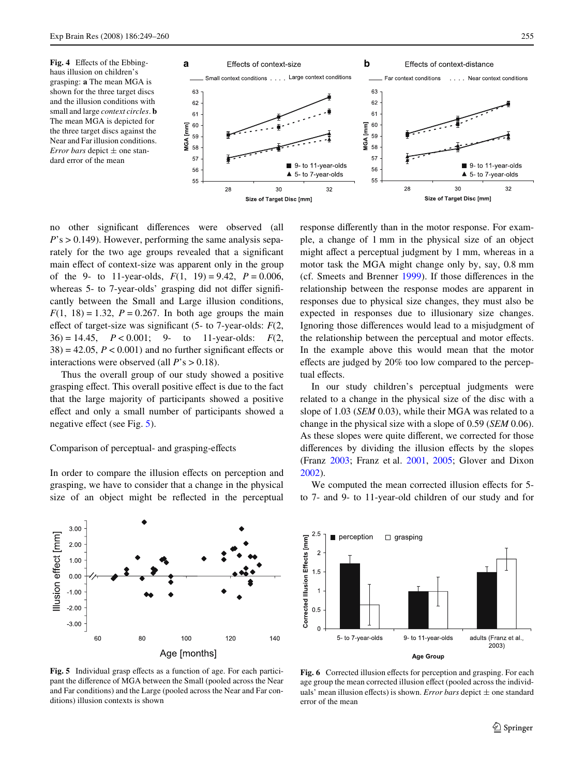<span id="page-6-0"></span>Fig. 4 Effects of the Ebbinghaus illusion on children's grasping: **a** The mean MGA is shown for the three target discs and the illusion conditions with small and large *context circles*. **b** The mean MGA is depicted for the three target discs against the Near and Far illusion conditions. *Error bars* depict  $\pm$  one standard error of the mean



no other significant differences were observed (all *P*'s > 0.149). However, performing the same analysis separately for the two age groups revealed that a significant main effect of context-size was apparent only in the group of the 9- to 11-year-olds,  $F(1, 19) = 9.42$ ,  $P = 0.006$ , whereas 5- to 7-year-olds' grasping did not differ significantly between the Small and Large illusion conditions,  $F(1, 18) = 1.32$ ,  $P = 0.267$ . In both age groups the main effect of target-size was significant  $(5-$  to 7-year-olds:  $F(2)$ , 36) = 14.45,  $P < 0.001$ ; 9- to 11-year-olds:  $F(2)$ ,  $38$ ) = 42.05,  $P < 0.001$ ) and no further significant effects or interactions were observed (all *P*'s > 0.18).

Thus the overall group of our study showed a positive grasping effect. This overall positive effect is due to the fact that the large majority of participants showed a positive effect and only a small number of participants showed a negative effect (see Fig.  $5$ ).

## Comparison of perceptual- and grasping-effects

In order to compare the illusion effects on perception and grasping, we have to consider that a change in the physical size of an object might be reflected in the perceptual

 $3.00$ Ilusion effect [mm]  $2.00$ 1.00  $0.00$  $-1.00$  $-2.00$  $-3.00$ **60** 80 100 120 140 Age [months]

<span id="page-6-1"></span>Fig. 5 Individual grasp effects as a function of age. For each participant the difference of MGA between the Small (pooled across the Near and Far conditions) and the Large (pooled across the Near and Far conditions) illusion contexts is shown

response differently than in the motor response. For example, a change of 1 mm in the physical size of an object might affect a perceptual judgment by 1 mm, whereas in a motor task the MGA might change only by, say, 0.8 mm (cf. Smeets and Brenner  $1999$ ). If those differences in the relationship between the response modes are apparent in responses due to physical size changes, they must also be expected in responses due to illusionary size changes. Ignoring those differences would lead to a misjudgment of the relationship between the perceptual and motor effects. In the example above this would mean that the motor effects are judged by 20% too low compared to the perceptual effects.

In our study children's perceptual judgments were related to a change in the physical size of the disc with a slope of 1.03 (*SEM* 0.03), while their MGA was related to a change in the physical size with a slope of 0.59 (*SEM* 0.06). As these slopes were quite different, we corrected for those differences by dividing the illusion effects by the slopes (Franz [2003;](#page-11-19) Franz et al. [2001,](#page-11-20) [2005](#page-11-21); Glover and Dixon [2002](#page-11-22)).

We computed the mean corrected illusion effects for 5to 7- and 9- to 11-year-old children of our study and for



<span id="page-6-2"></span>Fig. 6 Corrected illusion effects for perception and grasping. For each age group the mean corrected illusion effect (pooled across the individuals' mean illusion effects) is shown. *Error bars* depict  $\pm$  one standard error of the mean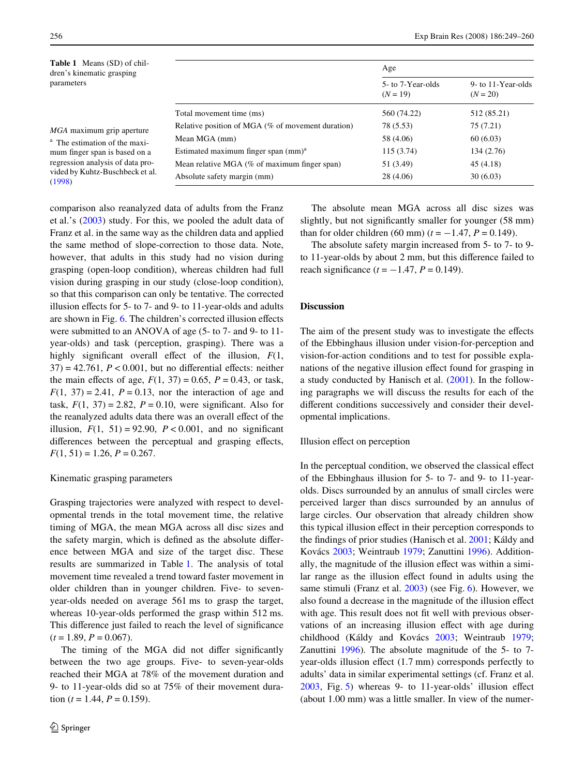256 Exp Brain Res (2008) 186:249–260

<span id="page-7-0"></span>

| <b>Table 1</b> Means (SD) of chil-<br>dren's kinematic grasping<br>parameters                                                                                                           |                                                   | Age                            |                                  |
|-----------------------------------------------------------------------------------------------------------------------------------------------------------------------------------------|---------------------------------------------------|--------------------------------|----------------------------------|
|                                                                                                                                                                                         |                                                   | 5-to 7-Year-olds<br>$(N = 19)$ | 9- to 11-Year-olds<br>$(N = 20)$ |
|                                                                                                                                                                                         | Total movement time (ms)                          | 560 (74.22)                    | 512 (85.21)                      |
| MGA maximum grip aperture<br><sup>a</sup> The estimation of the maxi-<br>mum finger span is based on a<br>regression analysis of data pro-<br>vided by Kuhtz-Buschbeck et al.<br>(1998) | Relative position of MGA (% of movement duration) | 78 (5.53)                      | 75 (7.21)                        |
|                                                                                                                                                                                         | Mean MGA (mm)                                     | 58 (4.06)                      | 60(6.03)                         |
|                                                                                                                                                                                         | Estimated maximum finger span $(mm)^a$            | 115(3.74)                      | 134 (2.76)                       |
|                                                                                                                                                                                         | Mean relative MGA $(\%$ of maximum finger span)   | 51 (3.49)                      | 45(4.18)                         |
|                                                                                                                                                                                         | Absolute safety margin (mm)                       | 28 (4.06)                      | 30(6.03)                         |

comparison also reanalyzed data of adults from the Franz et al.'s [\(2003](#page-11-5)) study. For this, we pooled the adult data of Franz et al. in the same way as the children data and applied the same method of slope-correction to those data. Note, however, that adults in this study had no vision during grasping (open-loop condition), whereas children had full vision during grasping in our study (close-loop condition), so that this comparison can only be tentative. The corrected illusion effects for  $5-$  to  $7-$  and  $9-$  to  $11$ -year-olds and adults are shown in Fig. [6](#page-6-2). The children's corrected illusion effects were submitted to an ANOVA of age (5- to 7- and 9- to 11 year-olds) and task (perception, grasping). There was a highly significant overall effect of the illusion,  $F(1,$  $37$ ) = 42.761,  $P < 0.001$ , but no differential effects: neither the main effects of age,  $F(1, 37) = 0.65$ ,  $P = 0.43$ , or task,  $F(1, 37) = 2.41$ ,  $P = 0.13$ , nor the interaction of age and task,  $F(1, 37) = 2.82$ ,  $P = 0.10$ , were significant. Also for the reanalyzed adults data there was an overall effect of the illusion,  $F(1, 51) = 92.90$ ,  $P < 0.001$ , and no significant differences between the perceptual and grasping effects,  $F(1, 51) = 1.26, P = 0.267.$ 

## Kinematic grasping parameters

Grasping trajectories were analyzed with respect to developmental trends in the total movement time, the relative timing of MGA, the mean MGA across all disc sizes and the safety margin, which is defined as the absolute difference between MGA and size of the target disc. These results are summarized in Table [1.](#page-7-0) The analysis of total movement time revealed a trend toward faster movement in older children than in younger children. Five- to sevenyear-olds needed on average 561 ms to grasp the target, whereas 10-year-olds performed the grasp within 512 ms. This difference just failed to reach the level of significance  $(t = 1.89, P = 0.067).$ 

The timing of the MGA did not differ significantly between the two age groups. Five- to seven-year-olds reached their MGA at 78% of the movement duration and 9- to 11-year-olds did so at 75% of their movement duration ( $t = 1.44$ ,  $P = 0.159$ ).

The absolute mean MGA across all disc sizes was slightly, but not significantly smaller for younger (58 mm) than for older children (60 mm)  $(t = -1.47, P = 0.149)$ .

The absolute safety margin increased from 5- to 7- to 9 to 11-year-olds by about 2 mm, but this difference failed to reach significance  $(t = -1.47, P = 0.149)$ .

## **Discussion**

The aim of the present study was to investigate the effects of the Ebbinghaus illusion under vision-for-perception and vision-for-action conditions and to test for possible explanations of the negative illusion effect found for grasping in a study conducted by Hanisch et al. ([2001\)](#page-11-0). In the following paragraphs we will discuss the results for each of the different conditions successively and consider their developmental implications.

#### Illusion effect on perception

In the perceptual condition, we observed the classical effect of the Ebbinghaus illusion for 5- to 7- and 9- to 11-yearolds. Discs surrounded by an annulus of small circles were perceived larger than discs surrounded by an annulus of large circles. Our observation that already children show this typical illusion effect in their perception corresponds to the findings of prior studies (Hanisch et al. [2001;](#page-11-0) Káldy and Kovács [2003](#page-11-12); Weintraub [1979;](#page-11-13) Zanuttini [1996](#page-11-14)). Additionally, the magnitude of the illusion effect was within a similar range as the illusion effect found in adults using the same stimuli (Franz et al. [2003](#page-11-5)) (see Fig. [6](#page-6-2)). However, we also found a decrease in the magnitude of the illusion effect with age. This result does not fit well with previous observations of an increasing illusion effect with age during childhood (Káldy and Kovács [2003;](#page-11-12) Weintraub [1979;](#page-11-13) Zanuttini [1996](#page-11-14)). The absolute magnitude of the 5- to 7 year-olds illusion effect (1.7 mm) corresponds perfectly to adults' data in similar experimental settings (cf. Franz et al.  $2003$ , Fig. [5\)](#page-6-1) whereas 9- to 11-year-olds' illusion effect (about 1.00 mm) was a little smaller. In view of the numer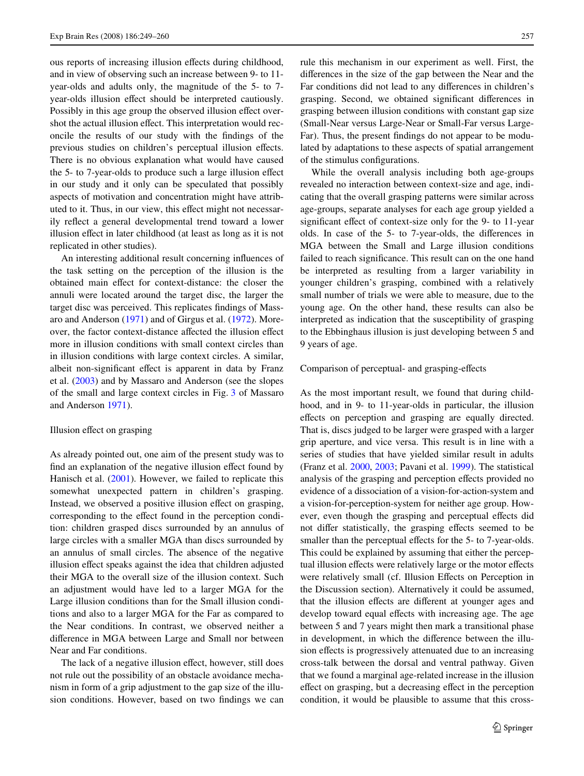ous reports of increasing illusion effects during childhood, and in view of observing such an increase between 9- to 11 year-olds and adults only, the magnitude of the 5- to 7 year-olds illusion effect should be interpreted cautiously. Possibly in this age group the observed illusion effect overshot the actual illusion effect. This interpretation would reconcile the results of our study with the findings of the previous studies on children's perceptual illusion effects. There is no obvious explanation what would have caused the 5- to 7-year-olds to produce such a large illusion effect in our study and it only can be speculated that possibly aspects of motivation and concentration might have attributed to it. Thus, in our view, this effect might not necessarily reflect a general developmental trend toward a lower illusion effect in later childhood (at least as long as it is not replicated in other studies).

An interesting additional result concerning influences of the task setting on the perception of the illusion is the obtained main effect for context-distance: the closer the annuli were located around the target disc, the larger the target disc was perceived. This replicates findings of Massaro and Anderson ([1971\)](#page-11-25) and of Girgus et al. ([1972\)](#page-11-26). Moreover, the factor context-distance affected the illusion effect more in illusion conditions with small context circles than in illusion conditions with large context circles. A similar, albeit non-significant effect is apparent in data by Franz et al. ([2003\)](#page-11-5) and by Massaro and Anderson (see the slopes of the small and large context circles in Fig. [3](#page-5-0) of Massaro and Anderson [1971](#page-11-25)).

#### Illusion effect on grasping

As already pointed out, one aim of the present study was to find an explanation of the negative illusion effect found by Hanisch et al. [\(2001](#page-11-0)). However, we failed to replicate this somewhat unexpected pattern in children's grasping. Instead, we observed a positive illusion effect on grasping, corresponding to the effect found in the perception condition: children grasped discs surrounded by an annulus of large circles with a smaller MGA than discs surrounded by an annulus of small circles. The absence of the negative illusion effect speaks against the idea that children adjusted their MGA to the overall size of the illusion context. Such an adjustment would have led to a larger MGA for the Large illusion conditions than for the Small illusion conditions and also to a larger MGA for the Far as compared to the Near conditions. In contrast, we observed neither a difference in MGA between Large and Small nor between Near and Far conditions.

The lack of a negative illusion effect, however, still does not rule out the possibility of an obstacle avoidance mechanism in form of a grip adjustment to the gap size of the illusion conditions. However, based on two findings we can rule this mechanism in our experiment as well. First, the differences in the size of the gap between the Near and the Far conditions did not lead to any differences in children's grasping. Second, we obtained significant differences in grasping between illusion conditions with constant gap size (Small-Near versus Large-Near or Small-Far versus Large-Far). Thus, the present findings do not appear to be modulated by adaptations to these aspects of spatial arrangement of the stimulus configurations.

While the overall analysis including both age-groups revealed no interaction between context-size and age, indicating that the overall grasping patterns were similar across age-groups, separate analyses for each age group yielded a significant effect of context-size only for the 9- to 11-year olds. In case of the 5- to 7-year-olds, the differences in MGA between the Small and Large illusion conditions failed to reach significance. This result can on the one hand be interpreted as resulting from a larger variability in younger children's grasping, combined with a relatively small number of trials we were able to measure, due to the young age. On the other hand, these results can also be interpreted as indication that the susceptibility of grasping to the Ebbinghaus illusion is just developing between 5 and 9 years of age.

# Comparison of perceptual- and grasping-effects

As the most important result, we found that during childhood, and in 9- to 11-year-olds in particular, the illusion effects on perception and grasping are equally directed. That is, discs judged to be larger were grasped with a larger grip aperture, and vice versa. This result is in line with a series of studies that have yielded similar result in adults (Franz et al. [2000](#page-11-8), [2003](#page-11-5); Pavani et al. [1999\)](#page-11-9). The statistical analysis of the grasping and perception effects provided no evidence of a dissociation of a vision-for-action-system and a vision-for-perception-system for neither age group. However, even though the grasping and perceptual effects did not differ statistically, the grasping effects seemed to be smaller than the perceptual effects for the 5- to 7-year-olds. This could be explained by assuming that either the perceptual illusion effects were relatively large or the motor effects were relatively small (cf. Illusion Effects on Perception in the Discussion section). Alternatively it could be assumed, that the illusion effects are different at younger ages and develop toward equal effects with increasing age. The age between 5 and 7 years might then mark a transitional phase in development, in which the difference between the illusion effects is progressively attenuated due to an increasing cross-talk between the dorsal and ventral pathway. Given that we found a marginal age-related increase in the illusion effect on grasping, but a decreasing effect in the perception condition, it would be plausible to assume that this cross-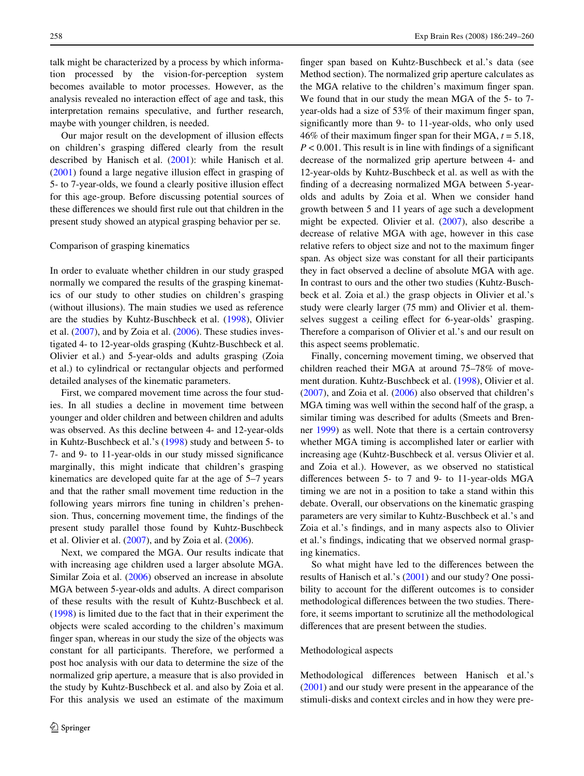talk might be characterized by a process by which information processed by the vision-for-perception system becomes available to motor processes. However, as the analysis revealed no interaction effect of age and task, this interpretation remains speculative, and further research, maybe with younger children, is needed.

Our major result on the development of illusion effects on children's grasping differed clearly from the result described by Hanisch et al. [\(2001](#page-11-0)): while Hanisch et al.  $(2001)$  $(2001)$  found a large negative illusion effect in grasping of 5- to 7-year-olds, we found a clearly positive illusion effect for this age-group. Before discussing potential sources of these differences we should first rule out that children in the present study showed an atypical grasping behavior per se.

# Comparison of grasping kinematics

In order to evaluate whether children in our study grasped normally we compared the results of the grasping kinematics of our study to other studies on children's grasping (without illusions). The main studies we used as reference are the studies by Kuhtz-Buschbeck et al. [\(1998](#page-11-15)), Olivier et al. [\(2007](#page-11-27)), and by Zoia et al. ([2006\)](#page-11-28). These studies investigated 4- to 12-year-olds grasping (Kuhtz-Buschbeck et al. Olivier et al.) and 5-year-olds and adults grasping (Zoia et al.) to cylindrical or rectangular objects and performed detailed analyses of the kinematic parameters.

First, we compared movement time across the four studies. In all studies a decline in movement time between younger and older children and between children and adults was observed. As this decline between 4- and 12-year-olds in Kuhtz-Buschbeck et al.'s ([1998\)](#page-11-15) study and between 5- to 7- and 9- to 11-year-olds in our study missed significance marginally, this might indicate that children's grasping kinematics are developed quite far at the age of 5–7 years and that the rather small movement time reduction in the following years mirrors fine tuning in children's prehension. Thus, concerning movement time, the findings of the present study parallel those found by Kuhtz-Buschbeck et al. Olivier et al. ([2007](#page-11-27)), and by Zoia et al. ([2006\)](#page-11-28).

Next, we compared the MGA. Our results indicate that with increasing age children used a larger absolute MGA. Similar Zoia et al. ([2006\)](#page-11-28) observed an increase in absolute MGA between 5-year-olds and adults. A direct comparison of these results with the result of Kuhtz-Buschbeck et al. [\(1998](#page-11-15)) is limited due to the fact that in their experiment the objects were scaled according to the children's maximum finger span, whereas in our study the size of the objects was constant for all participants. Therefore, we performed a post hoc analysis with our data to determine the size of the normalized grip aperture, a measure that is also provided in the study by Kuhtz-Buschbeck et al. and also by Zoia et al. For this analysis we used an estimate of the maximum finger span based on Kuhtz-Buschbeck et al.'s data (see Method section). The normalized grip aperture calculates as the MGA relative to the children's maximum finger span. We found that in our study the mean MGA of the 5- to 7 year-olds had a size of  $53\%$  of their maximum finger span, significantly more than 9- to 11-year-olds, who only used 46% of their maximum finger span for their MGA,  $t = 5.18$ ,  $P < 0.001$ . This result is in line with findings of a significant decrease of the normalized grip aperture between 4- and 12-year-olds by Kuhtz-Buschbeck et al. as well as with the finding of a decreasing normalized MGA between 5-yearolds and adults by Zoia et al. When we consider hand growth between 5 and 11 years of age such a development might be expected. Olivier et al. ([2007\)](#page-11-27), also describe a decrease of relative MGA with age, however in this case relative refers to object size and not to the maximum finger span. As object size was constant for all their participants they in fact observed a decline of absolute MGA with age. In contrast to ours and the other two studies (Kuhtz-Buschbeck et al. Zoia et al.) the grasp objects in Olivier et al.'s study were clearly larger (75 mm) and Olivier et al. themselves suggest a ceiling effect for 6-year-olds' grasping. Therefore a comparison of Olivier et al.'s and our result on this aspect seems problematic.

Finally, concerning movement timing, we observed that children reached their MGA at around 75–78% of movement duration. Kuhtz-Buschbeck et al. ([1998\)](#page-11-15), Olivier et al. [\(2007\)](#page-11-27), and Zoia et al. [\(2006](#page-11-28)) also observed that children's MGA timing was well within the second half of the grasp, a similar timing was described for adults (Smeets and Brenner [1999](#page-11-16)) as well. Note that there is a certain controversy whether MGA timing is accomplished later or earlier with increasing age (Kuhtz-Buschbeck et al. versus Olivier et al. and Zoia et al.). However, as we observed no statistical differences between  $5-$  to  $7$  and  $9-$  to  $11$ -year-olds MGA timing we are not in a position to take a stand within this debate. Overall, our observations on the kinematic grasping parameters are very similar to Kuhtz-Buschbeck et al.'s and Zoia et al.'s findings, and in many aspects also to Olivier et al.'s findings, indicating that we observed normal grasping kinematics.

So what might have led to the differences between the results of Hanisch et al.'s ([2001\)](#page-11-0) and our study? One possibility to account for the different outcomes is to consider methodological differences between the two studies. Therefore, it seems important to scrutinize all the methodological differences that are present between the studies.

## Methodological aspects

Methodological differences between Hanisch et al.'s ([2001\)](#page-11-0) and our study were present in the appearance of the stimuli-disks and context circles and in how they were pre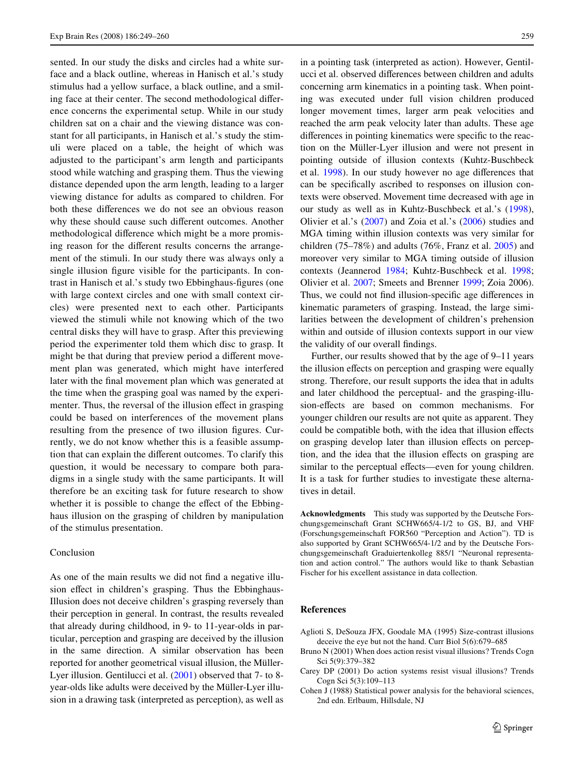sented. In our study the disks and circles had a white surface and a black outline, whereas in Hanisch et al.'s study stimulus had a yellow surface, a black outline, and a smiling face at their center. The second methodological difference concerns the experimental setup. While in our study children sat on a chair and the viewing distance was constant for all participants, in Hanisch et al.'s study the stimuli were placed on a table, the height of which was adjusted to the participant's arm length and participants stood while watching and grasping them. Thus the viewing distance depended upon the arm length, leading to a larger viewing distance for adults as compared to children. For both these differences we do not see an obvious reason why these should cause such different outcomes. Another methodological difference which might be a more promising reason for the different results concerns the arrangement of the stimuli. In our study there was always only a single illusion figure visible for the participants. In contrast in Hanisch et al.'s study two Ebbinghaus-figures (one with large context circles and one with small context circles) were presented next to each other. Participants viewed the stimuli while not knowing which of the two central disks they will have to grasp. After this previewing period the experimenter told them which disc to grasp. It might be that during that preview period a different movement plan was generated, which might have interfered later with the final movement plan which was generated at the time when the grasping goal was named by the experimenter. Thus, the reversal of the illusion effect in grasping could be based on interferences of the movement plans resulting from the presence of two illusion figures. Currently, we do not know whether this is a feasible assumption that can explain the different outcomes. To clarify this question, it would be necessary to compare both paradigms in a single study with the same participants. It will therefore be an exciting task for future research to show whether it is possible to change the effect of the Ebbinghaus illusion on the grasping of children by manipulation of the stimulus presentation.

## Conclusion

As one of the main results we did not find a negative illusion effect in children's grasping. Thus the Ebbinghaus-Illusion does not deceive children's grasping reversely than their perception in general. In contrast, the results revealed that already during childhood, in 9- to 11-year-olds in particular, perception and grasping are deceived by the illusion in the same direction. A similar observation has been reported for another geometrical visual illusion, the Müller-Lyer illusion. Gentilucci et al. [\(2001](#page-11-29)) observed that 7- to 8 year-olds like adults were deceived by the Müller-Lyer illusion in a drawing task (interpreted as perception), as well as

in a pointing task (interpreted as action). However, Gentilucci et al. observed differences between children and adults concerning arm kinematics in a pointing task. When pointing was executed under full vision children produced longer movement times, larger arm peak velocities and reached the arm peak velocity later than adults. These age differences in pointing kinematics were specific to the reaction on the Müller-Lyer illusion and were not present in pointing outside of illusion contexts (Kuhtz-Buschbeck et al. [1998](#page-11-15)). In our study however no age differences that can be specifically ascribed to responses on illusion contexts were observed. Movement time decreased with age in our study as well as in Kuhtz-Buschbeck et al.'s ([1998](#page-11-15)), Olivier et al.'s ([2007\)](#page-11-27) and Zoia et al.'s ([2006\)](#page-11-28) studies and MGA timing within illusion contexts was very similar for children (75–78%) and adults (76%, Franz et al. [2005\)](#page-11-21) and moreover very similar to MGA timing outside of illusion contexts (Jeannerod [1984](#page-11-4); Kuhtz-Buschbeck et al. [1998;](#page-11-15) Olivier et al. [2007](#page-11-27); Smeets and Brenner [1999](#page-11-16); Zoia 2006). Thus, we could not find illusion-specific age differences in kinematic parameters of grasping. Instead, the large similarities between the development of children's prehension within and outside of illusion contexts support in our view the validity of our overall findings.

Further, our results showed that by the age of 9–11 years the illusion effects on perception and grasping were equally strong. Therefore, our result supports the idea that in adults and later childhood the perceptual- and the grasping-illusion-effects are based on common mechanisms. For younger children our results are not quite as apparent. They could be compatible both, with the idea that illusion effects on grasping develop later than illusion effects on perception, and the idea that the illusion effects on grasping are similar to the perceptual effects—even for young children. It is a task for further studies to investigate these alternatives in detail.

**Acknowledgments** This study was supported by the Deutsche Forschungsgemeinschaft Grant SCHW665/4-1/2 to GS, BJ, and VHF (Forschungsgemeinschaft FOR560 "Perception and Action"). TD is also supported by Grant SCHW665/4-1/2 and by the Deutsche Forschungsgemeinschaft Graduiertenkolleg 885/1 "Neuronal representation and action control." The authors would like to thank Sebastian Fischer for his excellent assistance in data collection.

#### **References**

- <span id="page-10-0"></span>Aglioti S, DeSouza JFX, Goodale MA (1995) Size-contrast illusions deceive the eye but not the hand. Curr Biol 5(6):679–685
- <span id="page-10-1"></span>Bruno N (2001) When does action resist visual illusions? Trends Cogn Sci 5(9):379–382
- <span id="page-10-2"></span>Carey DP (2001) Do action systems resist visual illusions? Trends Cogn Sci 5(3):109–113
- <span id="page-10-3"></span>Cohen J (1988) Statistical power analysis for the behavioral sciences, 2nd edn. Erlbaum, Hillsdale, NJ